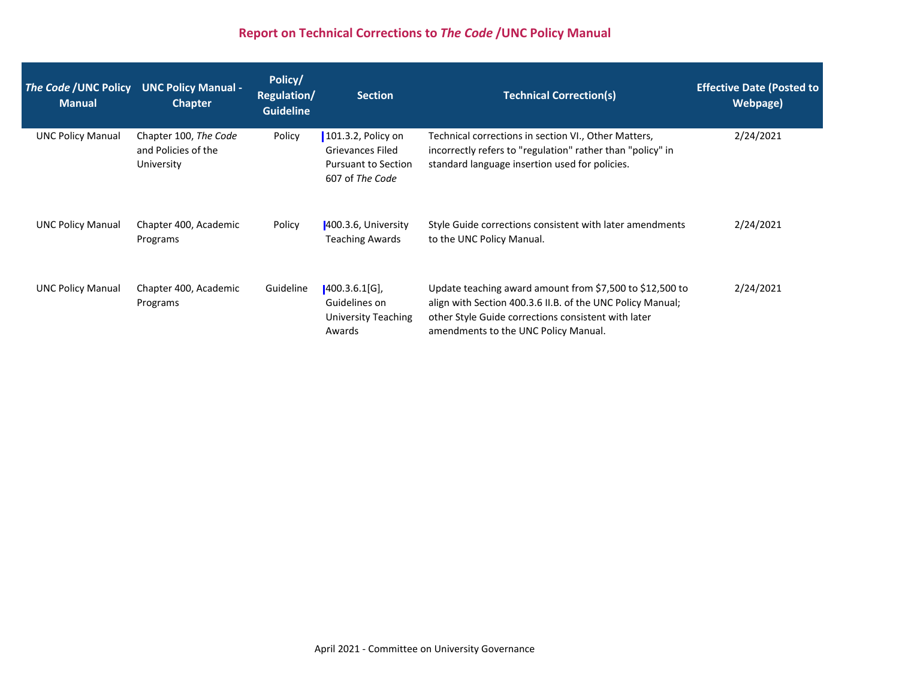# **Report on Technical Corrections to** *The Code* **/UNC Policy Manual**

| The Code / UNC Policy<br><b>Manual</b> | <b>UNC Policy Manual -</b><br><b>Chapter</b>               | Policy/<br>Regulation/<br><b>Guideline</b> | <b>Section</b>                                                                                 | <b>Technical Correction(s)</b>                                                                                                                                                                                        | <b>Effective Date (Posted to</b><br>Webpage) |
|----------------------------------------|------------------------------------------------------------|--------------------------------------------|------------------------------------------------------------------------------------------------|-----------------------------------------------------------------------------------------------------------------------------------------------------------------------------------------------------------------------|----------------------------------------------|
| <b>UNC Policy Manual</b>               | Chapter 100, The Code<br>and Policies of the<br>University | Policy                                     | 101.3.2, Policy on<br><b>Grievances Filed</b><br><b>Pursuant to Section</b><br>607 of The Code | Technical corrections in section VI., Other Matters,<br>incorrectly refers to "regulation" rather than "policy" in<br>standard language insertion used for policies.                                                  | 2/24/2021                                    |
| <b>UNC Policy Manual</b>               | Chapter 400, Academic<br>Programs                          | Policy                                     | 400.3.6, University<br><b>Teaching Awards</b>                                                  | Style Guide corrections consistent with later amendments<br>to the UNC Policy Manual.                                                                                                                                 | 2/24/2021                                    |
| <b>UNC Policy Manual</b>               | Chapter 400, Academic<br>Programs                          | Guideline                                  | 400.3.6.1[G]<br>Guidelines on<br><b>University Teaching</b><br>Awards                          | Update teaching award amount from \$7,500 to \$12,500 to<br>align with Section 400.3.6 II.B. of the UNC Policy Manual;<br>other Style Guide corrections consistent with later<br>amendments to the UNC Policy Manual. | 2/24/2021                                    |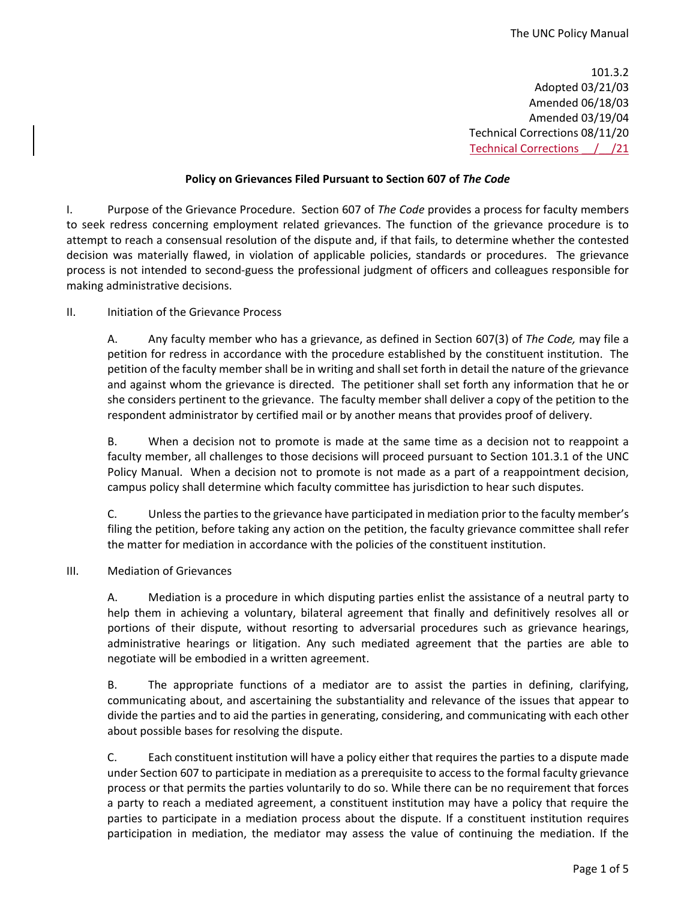101.3.2 Adopted 03/21/03 Amended 06/18/03 Amended 03/19/04 Technical Corrections 08/11/20 Technical Corrections \_\_/\_\_/21

# **Policy on Grievances Filed Pursuant to Section 607 of** *The Code*

<span id="page-1-0"></span>I. Purpose of the Grievance Procedure. Section 607 of *The Code* provides a process for faculty members to seek redress concerning employment related grievances. The function of the grievance procedure is to attempt to reach a consensual resolution of the dispute and, if that fails, to determine whether the contested decision was materially flawed, in violation of applicable policies, standards or procedures. The grievance process is not intended to second-guess the professional judgment of officers and colleagues responsible for making administrative decisions.

# II. Initiation of the Grievance Process

A. Any faculty member who has a grievance, as defined in Section 607(3) of *The Code,* may file a petition for redress in accordance with the procedure established by the constituent institution. The petition of the faculty member shall be in writing and shall set forth in detail the nature of the grievance and against whom the grievance is directed. The petitioner shall set forth any information that he or she considers pertinent to the grievance. The faculty member shall deliver a copy of the petition to the respondent administrator by certified mail or by another means that provides proof of delivery.

B. When a decision not to promote is made at the same time as a decision not to reappoint a faculty member, all challenges to those decisions will proceed pursuant to Section 101.3.1 of the UNC Policy Manual. When a decision not to promote is not made as a part of a reappointment decision, campus policy shall determine which faculty committee has jurisdiction to hear such disputes.

C. Unless the parties to the grievance have participated in mediation prior to the faculty member's filing the petition, before taking any action on the petition, the faculty grievance committee shall refer the matter for mediation in accordance with the policies of the constituent institution.

# III. Mediation of Grievances

A. Mediation is a procedure in which disputing parties enlist the assistance of a neutral party to help them in achieving a voluntary, bilateral agreement that finally and definitively resolves all or portions of their dispute, without resorting to adversarial procedures such as grievance hearings, administrative hearings or litigation. Any such mediated agreement that the parties are able to negotiate will be embodied in a written agreement.

B. The appropriate functions of a mediator are to assist the parties in defining, clarifying, communicating about, and ascertaining the substantiality and relevance of the issues that appear to divide the parties and to aid the parties in generating, considering, and communicating with each other about possible bases for resolving the dispute.

C. Each constituent institution will have a policy either that requires the parties to a dispute made under Section 607 to participate in mediation as a prerequisite to access to the formal faculty grievance process or that permits the parties voluntarily to do so. While there can be no requirement that forces a party to reach a mediated agreement, a constituent institution may have a policy that require the parties to participate in a mediation process about the dispute. If a constituent institution requires participation in mediation, the mediator may assess the value of continuing the mediation. If the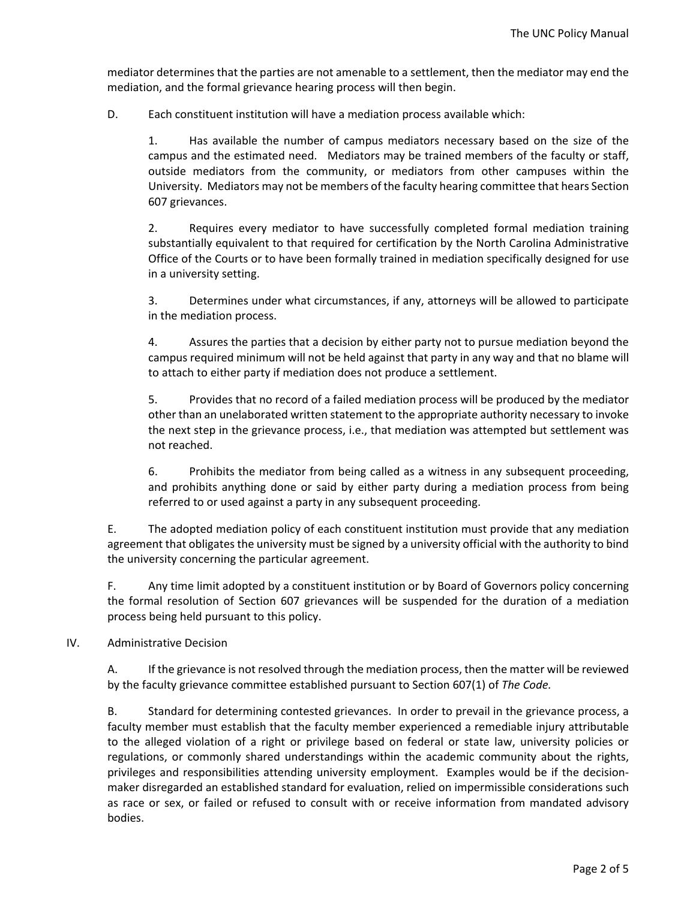mediator determines that the parties are not amenable to a settlement, then the mediator may end the mediation, and the formal grievance hearing process will then begin.

D. Each constituent institution will have a mediation process available which:

1. Has available the number of campus mediators necessary based on the size of the campus and the estimated need. Mediators may be trained members of the faculty or staff, outside mediators from the community, or mediators from other campuses within the University. Mediators may not be members of the faculty hearing committee that hears Section 607 grievances.

2. Requires every mediator to have successfully completed formal mediation training substantially equivalent to that required for certification by the North Carolina Administrative Office of the Courts or to have been formally trained in mediation specifically designed for use in a university setting.

3. Determines under what circumstances, if any, attorneys will be allowed to participate in the mediation process.

4. Assures the parties that a decision by either party not to pursue mediation beyond the campus required minimum will not be held against that party in any way and that no blame will to attach to either party if mediation does not produce a settlement.

5. Provides that no record of a failed mediation process will be produced by the mediator other than an unelaborated written statement to the appropriate authority necessary to invoke the next step in the grievance process, i.e., that mediation was attempted but settlement was not reached.

6. Prohibits the mediator from being called as a witness in any subsequent proceeding, and prohibits anything done or said by either party during a mediation process from being referred to or used against a party in any subsequent proceeding.

E. The adopted mediation policy of each constituent institution must provide that any mediation agreement that obligates the university must be signed by a university official with the authority to bind the university concerning the particular agreement.

F. Any time limit adopted by a constituent institution or by Board of Governors policy concerning the formal resolution of Section 607 grievances will be suspended for the duration of a mediation process being held pursuant to this policy.

# IV. Administrative Decision

A. If the grievance is not resolved through the mediation process, then the matter will be reviewed by the faculty grievance committee established pursuant to Section 607(1) of *The Code.*

B. Standard for determining contested grievances. In order to prevail in the grievance process, a faculty member must establish that the faculty member experienced a remediable injury attributable to the alleged violation of a right or privilege based on federal or state law, university policies or regulations, or commonly shared understandings within the academic community about the rights, privileges and responsibilities attending university employment. Examples would be if the decisionmaker disregarded an established standard for evaluation, relied on impermissible considerations such as race or sex, or failed or refused to consult with or receive information from mandated advisory bodies.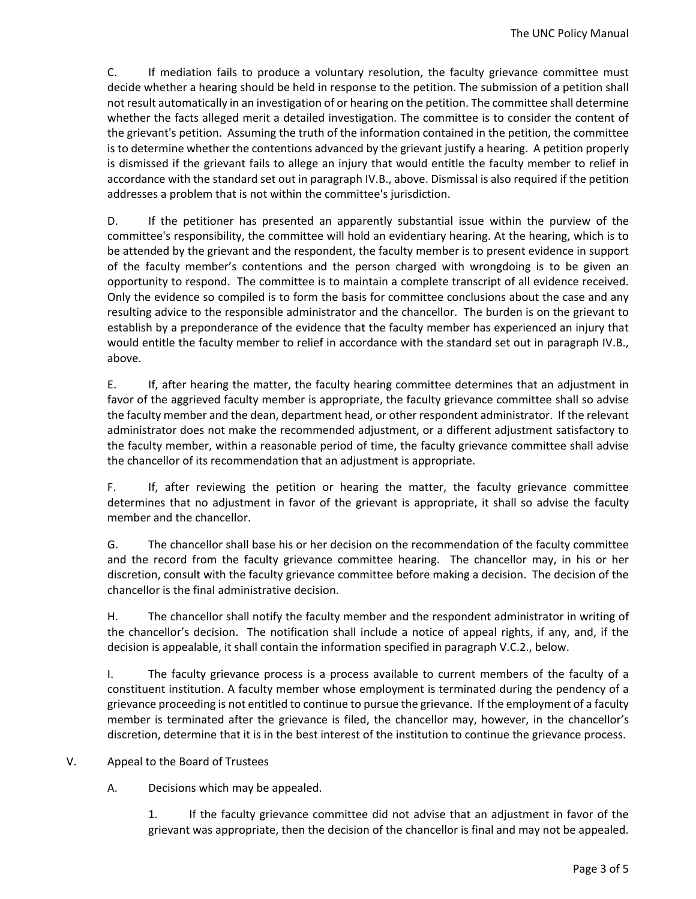C. If mediation fails to produce a voluntary resolution, the faculty grievance committee must decide whether a hearing should be held in response to the petition. The submission of a petition shall not result automatically in an investigation of or hearing on the petition. The committee shall determine whether the facts alleged merit a detailed investigation. The committee is to consider the content of the grievant's petition. Assuming the truth of the information contained in the petition, the committee is to determine whether the contentions advanced by the grievant justify a hearing. A petition properly is dismissed if the grievant fails to allege an injury that would entitle the faculty member to relief in accordance with the standard set out in paragraph IV.B., above. Dismissal is also required if the petition addresses a problem that is not within the committee's jurisdiction.

D. If the petitioner has presented an apparently substantial issue within the purview of the committee's responsibility, the committee will hold an evidentiary hearing. At the hearing, which is to be attended by the grievant and the respondent, the faculty member is to present evidence in support of the faculty member's contentions and the person charged with wrongdoing is to be given an opportunity to respond. The committee is to maintain a complete transcript of all evidence received. Only the evidence so compiled is to form the basis for committee conclusions about the case and any resulting advice to the responsible administrator and the chancellor. The burden is on the grievant to establish by a preponderance of the evidence that the faculty member has experienced an injury that would entitle the faculty member to relief in accordance with the standard set out in paragraph IV.B., above.

E. If, after hearing the matter, the faculty hearing committee determines that an adjustment in favor of the aggrieved faculty member is appropriate, the faculty grievance committee shall so advise the faculty member and the dean, department head, or other respondent administrator. If the relevant administrator does not make the recommended adjustment, or a different adjustment satisfactory to the faculty member, within a reasonable period of time, the faculty grievance committee shall advise the chancellor of its recommendation that an adjustment is appropriate.

F. If, after reviewing the petition or hearing the matter, the faculty grievance committee determines that no adjustment in favor of the grievant is appropriate, it shall so advise the faculty member and the chancellor.

G. The chancellor shall base his or her decision on the recommendation of the faculty committee and the record from the faculty grievance committee hearing. The chancellor may, in his or her discretion, consult with the faculty grievance committee before making a decision. The decision of the chancellor is the final administrative decision.

H. The chancellor shall notify the faculty member and the respondent administrator in writing of the chancellor's decision. The notification shall include a notice of appeal rights, if any, and, if the decision is appealable, it shall contain the information specified in paragraph V.C.2., below.

I. The faculty grievance process is a process available to current members of the faculty of a constituent institution. A faculty member whose employment is terminated during the pendency of a grievance proceeding is not entitled to continue to pursue the grievance. If the employment of a faculty member is terminated after the grievance is filed, the chancellor may, however, in the chancellor's discretion, determine that it is in the best interest of the institution to continue the grievance process.

V. Appeal to the Board of Trustees

A. Decisions which may be appealed.

1. If the faculty grievance committee did not advise that an adjustment in favor of the grievant was appropriate, then the decision of the chancellor is final and may not be appealed.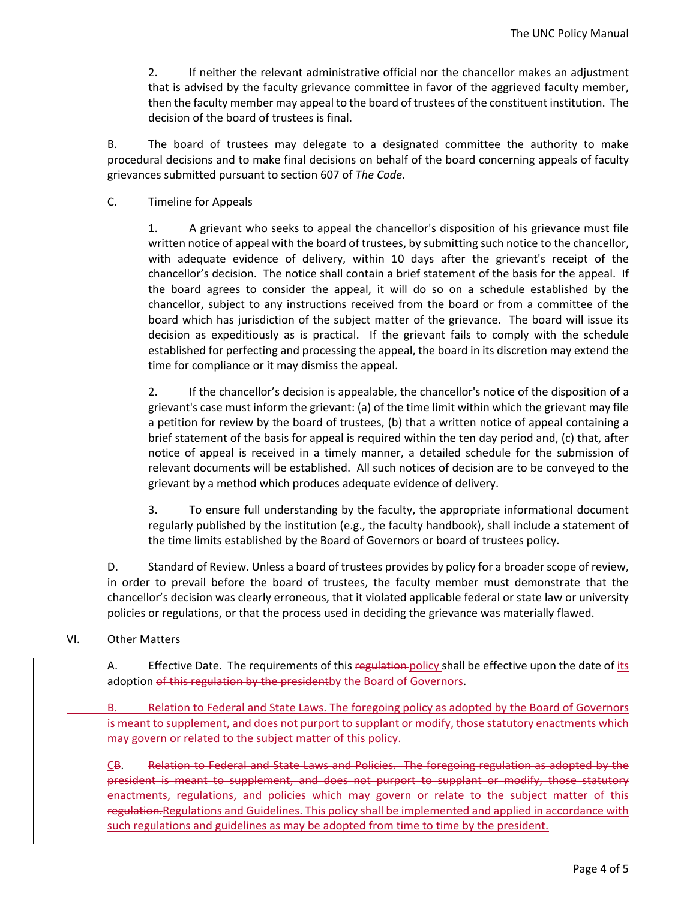2. If neither the relevant administrative official nor the chancellor makes an adjustment that is advised by the faculty grievance committee in favor of the aggrieved faculty member, then the faculty member may appeal to the board of trustees of the constituent institution. The decision of the board of trustees is final.

B. The board of trustees may delegate to a designated committee the authority to make procedural decisions and to make final decisions on behalf of the board concerning appeals of faculty grievances submitted pursuant to section 607 of *The Code*.

### C. Timeline for Appeals

1. A grievant who seeks to appeal the chancellor's disposition of his grievance must file written notice of appeal with the board of trustees, by submitting such notice to the chancellor, with adequate evidence of delivery, within 10 days after the grievant's receipt of the chancellor's decision. The notice shall contain a brief statement of the basis for the appeal. If the board agrees to consider the appeal, it will do so on a schedule established by the chancellor, subject to any instructions received from the board or from a committee of the board which has jurisdiction of the subject matter of the grievance. The board will issue its decision as expeditiously as is practical. If the grievant fails to comply with the schedule established for perfecting and processing the appeal, the board in its discretion may extend the time for compliance or it may dismiss the appeal.

2. If the chancellor's decision is appealable, the chancellor's notice of the disposition of a grievant's case must inform the grievant: (a) of the time limit within which the grievant may file a petition for review by the board of trustees, (b) that a written notice of appeal containing a brief statement of the basis for appeal is required within the ten day period and, (c) that, after notice of appeal is received in a timely manner, a detailed schedule for the submission of relevant documents will be established. All such notices of decision are to be conveyed to the grievant by a method which produces adequate evidence of delivery.

3. To ensure full understanding by the faculty, the appropriate informational document regularly published by the institution (e.g., the faculty handbook), shall include a statement of the time limits established by the Board of Governors or board of trustees policy.

D. Standard of Review. Unless a board of trustees provides by policy for a broader scope of review, in order to prevail before the board of trustees, the faculty member must demonstrate that the chancellor's decision was clearly erroneous, that it violated applicable federal or state law or university policies or regulations, or that the process used in deciding the grievance was materially flawed.

# VI. Other Matters

A. Effective Date. The requirements of this regulation policy shall be effective upon the date of its adoption of this regulation by the presidentby the Board of Governors.

B. Relation to Federal and State Laws. The foregoing policy as adopted by the Board of Governors is meant to supplement, and does not purport to supplant or modify, those statutory enactments which may govern or related to the subject matter of this policy.

CB. Relation to Federal and State Laws and Policies. The foregoing regulation as adopted by the president is meant to supplement, and does not purport to supplant or modify, those statutory enactments, regulations, and policies which may govern or relate to the subject matter of this regulation.Regulations and Guidelines. This policy shall be implemented and applied in accordance with such regulations and guidelines as may be adopted from time to time by the president.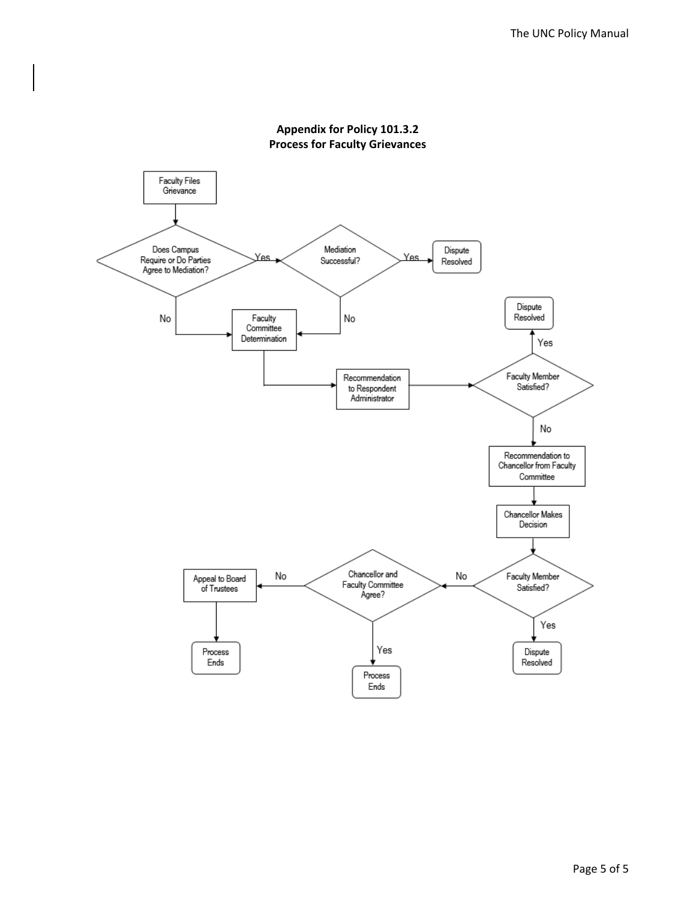

# **Appendix for Policy 101.3.2 Process for Faculty Grievances**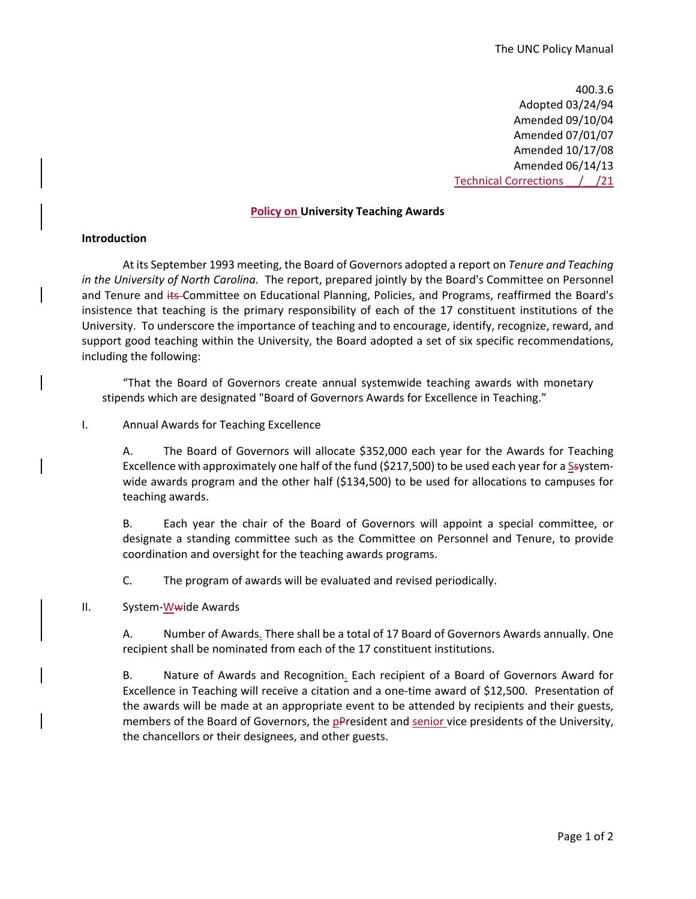400.3.6 Adopted 03/24/94 Amended 09/10/04 Amended 07/01/07 Amended 10/17/08 Amended 06/14/13 Technical Corrections \_\_/\_\_/21

#### **Policy on University Teaching Awards**

#### <span id="page-6-0"></span>**Introduction**

At its September 1993 meeting, the Board of Governors adopted a report on *Tenure and Teaching in the University of North Carolina.* The report, prepared jointly by the Board's Committee on Personnel and Tenure and its Committee on Educational Planning, Policies, and Programs, reaffirmed the Board's insistence that teaching is the primary responsibility of each of the 17 constituent institutions of the University. To underscore the importance of teaching and to encourage, identify, recognize, reward, and support good teaching within the University, the Board adopted a set of six specific recommendations, including the following:

"That the Board of Governors create annual systemwide teaching awards with monetary stipends which are designated "Board of Governors Awards for Excellence in Teaching."

#### I. Annual Awards for Teaching Excellence

A. The Board of Governors will allocate \$352,000 each year for the Awards for Teaching Excellence with approximately one half of the fund (\$217,500) to be used each year for a Ssystemwide awards program and the other half (\$134,500) to be used for allocations to campuses for teaching awards.

B. Each year the chair of the Board of Governors will appoint a special committee, or designate a standing committee such as the Committee on Personnel and Tenure, to provide coordination and oversight for the teaching awards programs.

C. The program of awards will be evaluated and revised periodically.

#### II. System-Wwide Awards

A. Number of Awards. There shall be a total of 17 Board of Governors Awards annually. One recipient shall be nominated from each of the 17 constituent institutions.

B. Nature of Awards and Recognition. Each recipient of a Board of Governors Award for Excellence in Teaching will receive a citation and a one-time award of \$12,500. Presentation of the awards will be made at an appropriate event to be attended by recipients and their guests, members of the Board of Governors, the pPresident and senior vice presidents of the University, the chancellors or their designees, and other guests.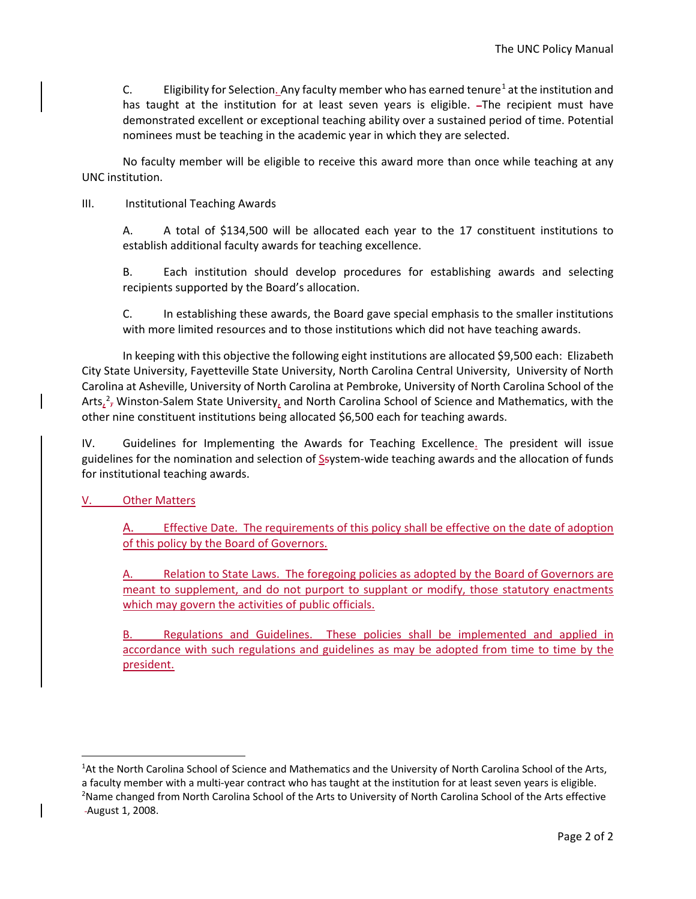C. Eligibility for Selection. Any faculty member who has earned tenure<sup>[1](#page-7-0)</sup> at the institution and has taught at the institution for at least seven years is eligible. - The recipient must have demonstrated excellent or exceptional teaching ability over a sustained period of time. Potential nominees must be teaching in the academic year in which they are selected.

No faculty member will be eligible to receive this award more than once while teaching at any UNC institution.

III. Institutional Teaching Awards

A. A total of \$134,500 will be allocated each year to the 17 constituent institutions to establish additional faculty awards for teaching excellence.

B. Each institution should develop procedures for establishing awards and selecting recipients supported by the Board's allocation.

C. In establishing these awards, the Board gave special emphasis to the smaller institutions with more limited resources and to those institutions which did not have teaching awards.

In keeping with this objective the following eight institutions are allocated \$9,500 each: Elizabeth City State University, Fayetteville State University, North Carolina Central University, University of North Carolina at Asheville, University of North Carolina at Pembroke, University of North Carolina School of the Arts<sub> $\lambda$ </sub><sup>[2](#page-7-1)</sup>, Winston-Salem State University, and North Carolina School of Science and Mathematics, with the other nine constituent institutions being allocated \$6,500 each for teaching awards.

IV. Guidelines for Implementing the Awards for Teaching Excellence. The president will issue guidelines for the nomination and selection of Ssystem-wide teaching awards and the allocation of funds for institutional teaching awards.

# V. Other Matters

A. Effective Date. The requirements of this policy shall be effective on the date of adoption of this policy by the Board of Governors.

A. Relation to State Laws. The foregoing policies as adopted by the Board of Governors are meant to supplement, and do not purport to supplant or modify, those statutory enactments which may govern the activities of public officials.

B. Regulations and Guidelines. These policies shall be implemented and applied in accordance with such regulations and guidelines as may be adopted from time to time by the president.

<span id="page-7-1"></span><span id="page-7-0"></span><sup>&</sup>lt;sup>1</sup>At the North Carolina School of Science and Mathematics and the University of North Carolina School of the Arts, a faculty member with a multi-year contract who has taught at the institution for at least seven years is eligible. <sup>2</sup>Name changed from North Carolina School of the Arts to University of North Carolina School of the Arts effective August 1, 2008.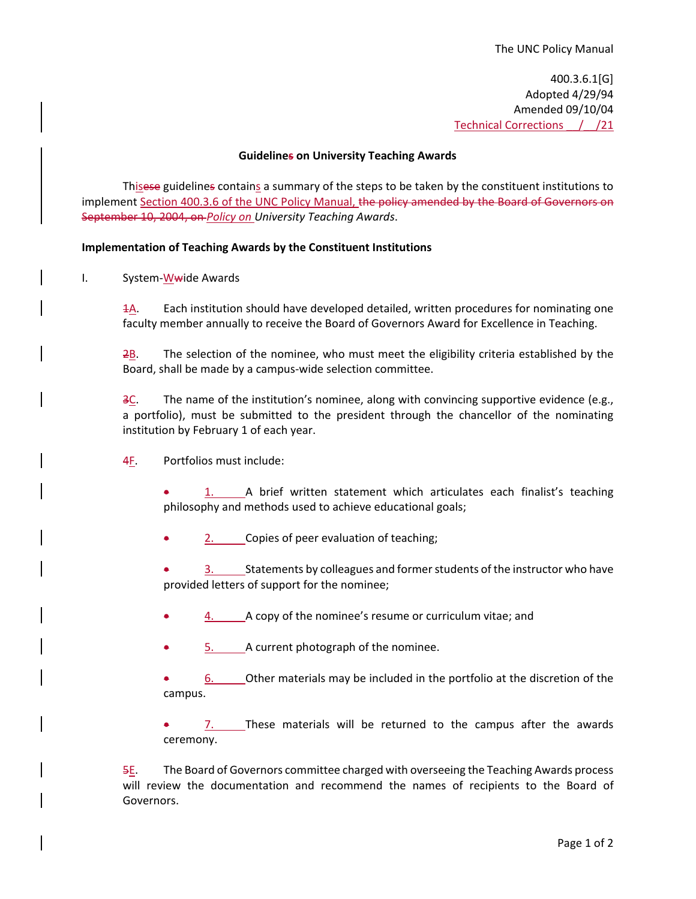400.3.6.1[G] Adopted 4/29/94 Amended 09/10/04 Technical Corrections / /21

### **Guidelines on University Teaching Awards**

<span id="page-8-0"></span>Thisese guidelines contains a summary of the steps to be taken by the constituent institutions to implement Section 400.3.6 of the UNC Policy Manual, the policy amended by the Board of Governors on September 10, 2004, on *Policy on University Teaching Awards*.

### **Implementation of Teaching Awards by the Constituent Institutions**

I. System-Wwide Awards

1A. Each institution should have developed detailed, written procedures for nominating one faculty member annually to receive the Board of Governors Award for Excellence in Teaching.

 $2\underline{B}$ . The selection of the nominee, who must meet the eligibility criteria established by the Board, shall be made by a campus-wide selection committee.

3C. The name of the institution's nominee, along with convincing supportive evidence (e.g., a portfolio), must be submitted to the president through the chancellor of the nominating institution by February 1 of each year.

4F. Portfolios must include:

• 1. A brief written statement which articulates each finalist's teaching philosophy and methods used to achieve educational goals;

• 2. Copies of peer evaluation of teaching;

3. Statements by colleagues and former students of the instructor who have provided letters of support for the nominee;

- 4. A copy of the nominee's resume or curriculum vitae; and
- 5. A current photograph of the nominee.

• 6. Other materials may be included in the portfolio at the discretion of the campus.

 $7.$  These materials will be returned to the campus after the awards ceremony.

5E. The Board of Governors committee charged with overseeing the Teaching Awards process will review the documentation and recommend the names of recipients to the Board of Governors.